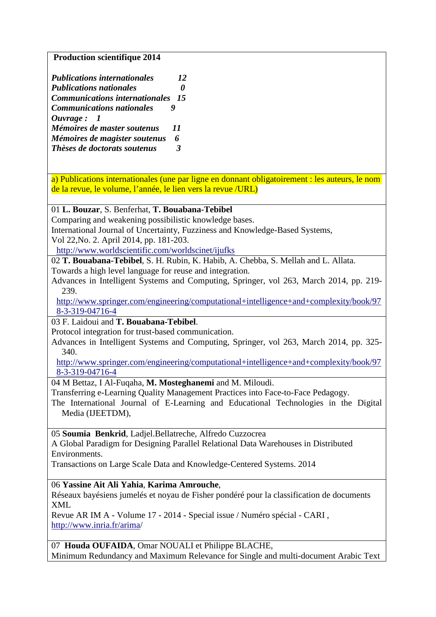**Production scientifique 2014** 

| <b>Publications internationales</b>      | 12 |
|------------------------------------------|----|
| <b>Publications nationales</b>           |    |
| <b>Communications internationales</b> 15 |    |
| <b>Communications nationales</b>         |    |
| Ouvrage: 1                               |    |
| Mémoires de master soutenus              | 11 |
| Mémoires de magister soutenus            | 6  |
| Thèses de doctorats soutenus             | 3  |

a) Publications internationales (une par ligne en donnant obligatoirement : les auteurs, le nom de la revue, le volume, l'année, le lien vers la revue /URL)

### 01 **L. Bouzar**, S. Benferhat, **T. Bouabana-Tebibel**

Comparing and weakening possibilistic knowledge bases.

International Journal of Uncertainty, Fuzziness and Knowledge-Based Systems,

Vol 22,No. 2. April 2014, pp. 181-203.

http://www.worldscientific.com/worldscinet/ijufks

02 **T. Bouabana-Tebibel**, S. H. Rubin, K. Habib, A. Chebba, S. Mellah and L. Allata. Towards a high level language for reuse and integration.

Advances in Intelligent Systems and Computing, Springer, vol 263, March 2014, pp. 219- 239.

http://www.springer.com/engineering/computational+intelligence+and+complexity/book/97 8-3-319-04716-4

03 F. Laidoui and **T. Bouabana-Tebibel**.

Protocol integration for trust-based communication.

Advances in Intelligent Systems and Computing, Springer, vol 263, March 2014, pp. 325- 340.

http://www.springer.com/engineering/computational+intelligence+and+complexity/book/97 8-3-319-04716-4

### 04 M Bettaz, I Al-Fuqaha, **M. Mosteghanemi** and M. Miloudi.

Transferring e-Learning Quality Management Practices into Face-to-Face Pedagogy.

The International Journal of E-Learning and Educational Technologies in the Digital Media (IJEETDM),

05 **Soumia Benkrid**, Ladjel.Bellatreche, Alfredo Cuzzocrea

A Global Paradigm for Designing Parallel Relational Data Warehouses in Distributed Environments.

Transactions on Large Scale Data and Knowledge‐Centered Systems. 2014

06 **Yassine Ait Ali Yahia**, **Karima Amrouche**,

Réseaux bayésiens jumelés et noyau de Fisher pondéré pour la classification de documents XML

Revue AR IM A - Volume 17 - 2014 - Special issue / Numéro spécial - CARI , http://www.inria.fr/arima/

07 **Houda OUFAIDA**, Omar NOUALI et Philippe BLACHE, Minimum Redundancy and Maximum Relevance for Single and multi-document Arabic Text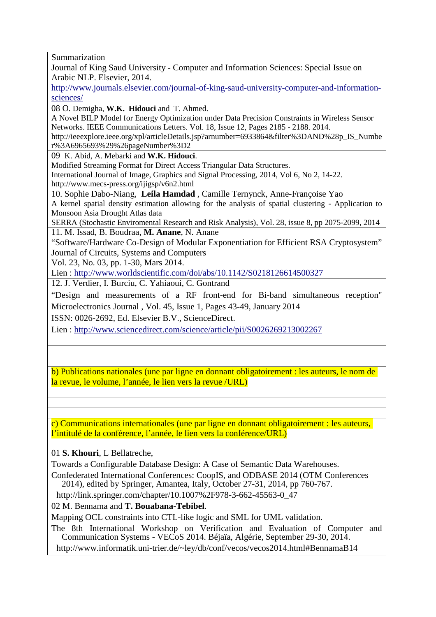Summarization Journal of King Saud University - Computer and Information Sciences: Special Issue on Arabic NLP. Elsevier, 2014. http://www.journals.elsevier.com/journal-of-king-saud-university-computer-and-informationsciences/ 08 O. Demigha, **W.K. Hidouci** and T. Ahmed. A Novel BILP Model for Energy Optimization under Data Precision Constraints in Wireless Sensor Networks. IEEE Communications Letters. Vol. 18, Issue 12, Pages 2185 - 2188. 2014. http://ieeexplore.ieee.org/xpl/articleDetails.jsp?arnumber=6933864&filter%3DAND%28p\_IS\_Numbe r%3A6965693%29%26pageNumber%3D2 09 K. Abid, A. Mebarki and **W.K. Hidouci**. Modified Streaming Format for Direct Access Triangular Data Structures. International Journal of Image, Graphics and Signal Processing, 2014, Vol 6, No 2, 14-22. http://www.mecs-press.org/ijigsp/v6n2.html 10. Sophie Dabo-Niang, **Leila Hamdad** , Camille Ternynck, Anne-Françoise Yao A kernel spatial density estimation allowing for the analysis of spatial clustering - Application to Monsoon Asia Drought Atlas data SERRA (Stochastic Enviromental Research and Risk Analysis), Vol. 28, issue 8, pp 2075-2099, 2014 11. M. Issad, B. Boudraa, **M. Anane**, N. Anane "Software/Hardware Co-Design of Modular Exponentiation for Efficient RSA Cryptosystem" Journal of Circuits, Systems and Computers Vol. 23, No. 03, pp. 1-30, Mars 2014. Lien : http://www.worldscientific.com/doi/abs/10.1142/S0218126614500327 12. J. Verdier, I. Burciu, C. Yahiaoui, C. Gontrand "Design and measurements of a RF front-end for Bi-band simultaneous reception" Microelectronics Journal , Vol. 45, Issue 1, Pages 43-49, January 2014 ISSN: 0026-2692, Ed. Elsevier B.V., ScienceDirect. Lien : http://www.sciencedirect.com/science/article/pii/S0026269213002267 b) Publications nationales (une par ligne en donnant obligatoirement : les auteurs, le nom de la revue, le volume, l'année, le lien vers la revue *(URL)* c) Communications internationales (une par ligne en donnant obligatoirement : les auteurs, l'intitulé de la conférence, l'année, le lien vers la conférence/URL)

# 01 **S. Khouri**, L Bellatreche,

Towards a Configurable Database Design: A Case of Semantic Data Warehouses.

Confederated International Conferences: CoopIS, and ODBASE 2014 (OTM Conferences 2014), edited by Springer, Amantea, Italy, October 27-31, 2014, pp 760-767.

http://link.springer.com/chapter/10.1007%2F978-3-662-45563-0\_47

02 M. Bennama and **T. Bouabana-Tebibel**.

Mapping OCL constraints into CTL-like logic and SML for UML validation.

The 8th International Workshop on Verification and Evaluation of Computer and Communication Systems - VECoS 2014. Béjaïa, Algérie, September 29-30, 2014.

http://www.informatik.uni-trier.de/~ley/db/conf/vecos/vecos2014.html#BennamaB14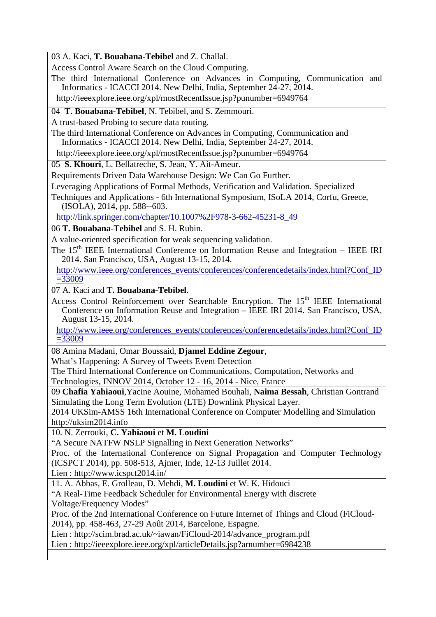03 A. Kaci, **T. Bouabana-Tebibel** and Z. Challal.

Access Control Aware Search on the Cloud Computing.

The third International Conference on Advances in Computing, Communication and Informatics - ICACCI 2014. New Delhi, India, September 24-27, 2014.

http://ieeexplore.ieee.org/xpl/mostRecentIssue.jsp?punumber=6949764

04 **T. Bouabana-Tebibel**, N. Tebibel, and S. Zemmouri.

A trust-based Probing to secure data routing.

The third International Conference on Advances in Computing, Communication and Informatics - ICACCI 2014. New Delhi, India, September 24-27, 2014.

http://ieeexplore.ieee.org/xpl/mostRecentIssue.jsp?punumber=6949764

05 **S. Khouri**, L. Bellatreche, S. Jean, Y. Ait-Ameur.

Requirements Driven Data Warehouse Design: We Can Go Further.

Leveraging Applications of Formal Methods, Verification and Validation. Specialized

Techniques and Applications - 6th International Symposium, ISoLA 2014, Corfu, Greece, (ISOLA), 2014, pp. 588--603.

http://link.springer.com/chapter/10.1007%2F978-3-662-45231-8\_49

06 **T. Bouabana-Tebibel** and S. H. Rubin.

A value-oriented specification for weak sequencing validation.

The  $15<sup>th</sup>$  IEEE International Conference on Information Reuse and Integration – IEEE IRI 2014. San Francisco, USA, August 13-15, 2014.

http://www.ieee.org/conferences\_events/conferences/conferencedetails/index.html?Conf\_ID =33009

07 A. Kaci and **T. Bouabana-Tebibel**.

Access Control Reinforcement over Searchable Encryption. The 15<sup>th</sup> IEEE International Conference on Information Reuse and Integration – IEEE IRI 2014. San Francisco, USA, August 13-15, 2014.

http://www.ieee.org/conferences\_events/conferences/conferencedetails/index.html?Conf\_ID  $= 33009$ 

08 Amina Madani, Omar Boussaid, **Djamel Eddine Zegour**,

What's Happening: A Survey of Tweets Event Detection

The Third International Conference on Communications, Computation, Networks and Technologies, INNOV 2014, October 12 - 16, 2014 - Nice, France

09 **Chafia Yahiaoui**,Yacine Aouine, Mohamed Bouhali, **Naima Bessah**, Christian Gontrand Simulating the Long Term Evolution (LTE) Downlink Physical Layer.

2014 UKSim-AMSS 16th International Conference on Computer Modelling and Simulation http://uksim2014.info

10. N. Zerrouki, **C. Yahiaoui** et **M. Loudini**

"A Secure NATFW NSLP Signalling in Next Generation Networks"

Proc. of the International Conference on Signal Propagation and Computer Technology (ICSPCT 2014), pp. 508-513, Ajmer, Inde, 12-13 Juillet 2014.

Lien : http://www.icspct2014.in/

11. A. Abbas, E. Grolleau, D. Mehdi, **M. Loudini** et W. K. Hidouci

"A Real-Time Feedback Scheduler for Environmental Energy with discrete Voltage/Frequency Modes"

Proc. of the 2nd International Conference on Future Internet of Things and Cloud (FiCloud-2014), pp. 458-463, 27-29 Août 2014, Barcelone, Espagne.

Lien : http://scim.brad.ac.uk/~iawan/FiCloud-2014/advance\_program.pdf

Lien : http://ieeexplore.ieee.org/xpl/articleDetails.jsp?arnumber=6984238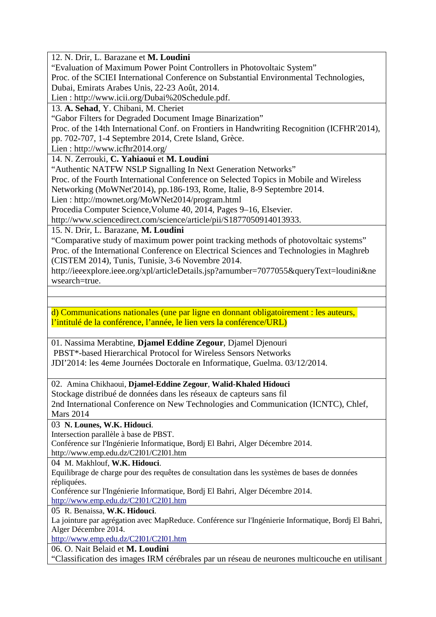12. N. Drir, L. Barazane et **M. Loudini**

"Evaluation of Maximum Power Point Controllers in Photovoltaic System"

Proc. of the SCIEI International Conference on Substantial Environmental Technologies,

Dubai, Emirats Arabes Unis, 22-23 Août, 2014.

Lien : http://www.icii.org/Dubai%20Schedule.pdf.

13. **A. Sehad**, Y. Chibani, M. Cheriet

"Gabor Filters for Degraded Document Image Binarization"

Proc. of the 14th International Conf. on Frontiers in Handwriting Recognition (ICFHR'2014),

pp. 702-707, 1-4 Septembre 2014, Crete Island, Grèce.

Lien : http://www.icfhr2014.org/

14. N. Zerrouki, **C. Yahiaoui** et **M. Loudini**

"Authentic NATFW NSLP Signalling In Next Generation Networks"

Proc. of the Fourth International Conference on Selected Topics in Mobile and Wireless

Networking (MoWNet'2014), pp.186-193, Rome, Italie, 8-9 Septembre 2014.

Lien : http://mownet.org/MoWNet2014/program.html

Procedia Computer Science,Volume 40, 2014, Pages 9–16, Elsevier.

http://www.sciencedirect.com/science/article/pii/S1877050914013933.

15. N. Drir, L. Barazane, **M. Loudini**

"Comparative study of maximum power point tracking methods of photovoltaic systems" Proc. of the International Conference on Electrical Sciences and Technologies in Maghreb (CISTEM 2014), Tunis, Tunisie, 3-6 Novembre 2014.

http://ieeexplore.ieee.org/xpl/articleDetails.jsp?arnumber=7077055&queryText=loudini&ne wsearch=true.

d) Communications nationales (une par ligne en donnant obligatoirement : les auteurs, l'intitulé de la conférence, l'année, le lien vers la conférence/URL)

01. Nassima Merabtine, **Djamel Eddine Zegour**, Djamel Djenouri PBST\*-based Hierarchical Protocol for Wireless Sensors Networks JDI'2014: les 4eme Journées Doctorale en Informatique, Guelma. 03/12/2014.

02. Amina Chikhaoui, **Djamel-Eddine Zegour**, **Walid-Khaled Hidouci**

Stockage distribué de données dans les réseaux de capteurs sans fil 2nd International Conference on New Technologies and Communication (ICNTC), Chlef, Mars 2014

03 **N. Lounes, W.K. Hidouci**.

Intersection parallèle à base de PBST.

Conférence sur l'Ingénierie Informatique, Bordj El Bahri, Alger Décembre 2014. http://www.emp.edu.dz/C2I01/C2I01.htm

04 M. Makhlouf, **W.K. Hidouci**.

Equilibrage de charge pour des requêtes de consultation dans les systèmes de bases de données répliquées.

Conférence sur l'Ingénierie Informatique, Bordj El Bahri, Alger Décembre 2014.

http://www.emp.edu.dz/C2I01/C2I01.htm

05 R. Benaissa, **W.K. Hidouci**.

La jointure par agrégation avec MapReduce. Conférence sur l'Ingénierie Informatique, Bordj El Bahri, Alger Décembre 2014.

http://www.emp.edu.dz/C2I01/C2I01.htm

06. O. Nait Belaid et **M. Loudini**

"Classification des images IRM cérébrales par un réseau de neurones multicouche en utilisant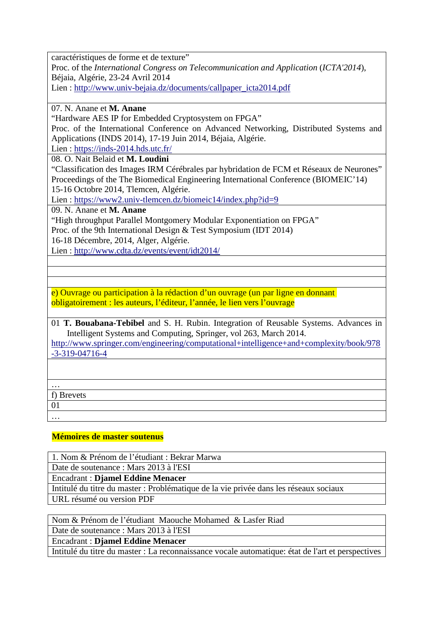caractéristiques de forme et de texture"

Proc. of the *International Congress on Telecommunication and Application* (*ICTA'2014*), Béjaia, Algérie, 23-24 Avril 2014

Lien : http://www.univ-bejaia.dz/documents/callpaper\_icta2014.pdf

### 07. N. Anane et **M. Anane**

"Hardware AES IP for Embedded Cryptosystem on FPGA"

Proc. of the International Conference on Advanced Networking, Distributed Systems and Applications (INDS 2014), 17-19 Juin 2014, Béjaia, Algérie.

Lien : https://inds-2014.hds.utc.fr/

08. O. Nait Belaid et **M. Loudini**

"Classification des Images IRM Cérébrales par hybridation de FCM et Réseaux de Neurones" Proceedings of the The Biomedical Engineering International Conference (BIOMEIC'14) 15-16 Octobre 2014, Tlemcen, Algérie.

Lien : https://www2.univ-tlemcen.dz/biomeic14/index.php?id=9

09. N. Anane et **M. Anane**

"High throughput Parallel Montgomery Modular Exponentiation on FPGA" Proc. of the 9th International Design & Test Symposium (IDT 2014)

16-18 Décembre, 2014, Alger, Algérie.

Lien : http://www.cdta.dz/events/event/idt2014/

e) Ouvrage ou participation à la rédaction d'un ouvrage (un par ligne en donnant obligatoirement : les auteurs, l'éditeur, l'année, le lien vers l'ouvrage

01 **T. Bouabana-Tebibel** and S. H. Rubin. Integration of Reusable Systems. Advances in Intelligent Systems and Computing, Springer, vol 263, March 2014.

http://www.springer.com/engineering/computational+intelligence+and+complexity/book/978 -3-319-04716-4

…

f) Brevets

01

…

### **Mémoires de master soutenus**

1. Nom & Prénom de l'étudiant : Bekrar Marwa

Date de soutenance : Mars 2013 à l'ESI

Encadrant : **Djamel Eddine Menacer**

Intitulé du titre du master : Problématique de la vie privée dans les réseaux sociaux URL résumé ou version PDF

Nom & Prénom de l'étudiant Maouche Mohamed & Lasfer Riad

Date de soutenance : Mars 2013 à l'ESI

Encadrant : **Djamel Eddine Menacer**

Intitulé du titre du master : La reconnaissance vocale automatique: état de l'art et perspectives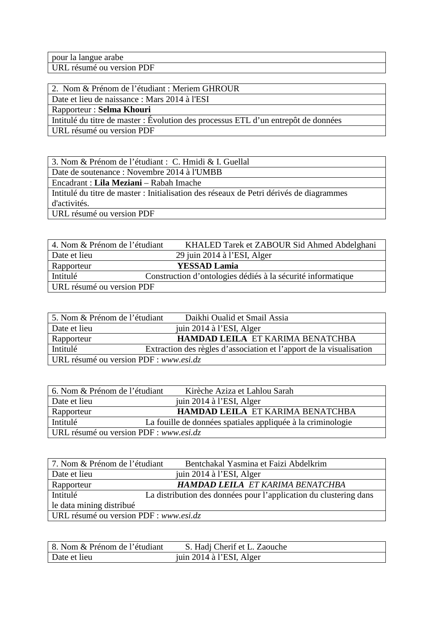pour la langue arabe

URL résumé ou version PDF

2. Nom & Prénom de l'étudiant : Meriem GHROUR

Date et lieu de naissance : Mars 2014 à l'ESI

Rapporteur : **Selma Khouri**

Intitulé du titre de master : Évolution des processus ETL d'un entrepôt de données

URL résumé ou version PDF

3. Nom & Prénom de l'étudiant : C. Hmidi & I. Guellal Date de soutenance : Novembre 2014 à l'UMBB Encadrant : **Lila Meziani** – Rabah Imache Intitulé du titre de master : Initialisation des réseaux de Petri dérivés de diagrammes d'activités. URL résumé ou version PDF

| 4. Nom & Prénom de l'étudiant | KHALED Tarek et ZABOUR Sid Ahmed Abdelghani                 |
|-------------------------------|-------------------------------------------------------------|
| Date et lieu                  | 29 juin 2014 à l'ESI, Alger                                 |
| Rapporteur                    | <b>YESSAD Lamia</b>                                         |
| Intitulé                      | Construction d'ontologies dédiés à la sécurité informatique |
| URL résumé ou version PDF     |                                                             |

| 5. Nom & Prénom de l'étudiant          | Daikhi Oualid et Smail Assia                                        |
|----------------------------------------|---------------------------------------------------------------------|
| Date et lieu                           | juin 2014 à l'ESI, Alger                                            |
| Rapporteur                             | <b>HAMDAD LEILA ET KARIMA BENATCHBA</b>                             |
| Intitulé                               | Extraction des règles d'association et l'apport de la visualisation |
| URL résumé ou version PDF : www.esi.dz |                                                                     |

| 6. Nom & Prénom de l'étudiant          | Kirèche Aziza et Lahlou Sarah                               |
|----------------------------------------|-------------------------------------------------------------|
| Date et lieu                           | juin 2014 à l'ESI, Alger                                    |
| Rapporteur                             | HAMDAD LEILA ET KARIMA BENATCHBA                            |
| Intitulé                               | La fouille de données spatiales appliquée à la criminologie |
| URL résumé ou version PDF : www.esi.dz |                                                             |
|                                        |                                                             |

| 7. Nom & Prénom de l'étudiant          | Bentchakal Yasmina et Faizi Abdelkrim                             |
|----------------------------------------|-------------------------------------------------------------------|
| Date et lieu                           | juin 2014 à l'ESI, Alger                                          |
| Rapporteur                             | <b>HAMDAD LEILA ET KARIMA BENATCHBA</b>                           |
| Intitulé                               | La distribution des données pour l'application du clustering dans |
| le data mining distribué               |                                                                   |
| URL résumé ou version PDF : www.esi.dz |                                                                   |

| 8. Nom & Prénom de l'étudiant | S. Hadj Cherif et L. Zaouche |
|-------------------------------|------------------------------|
| Date et lieu                  | juin 2014 à l'ESI, Alger     |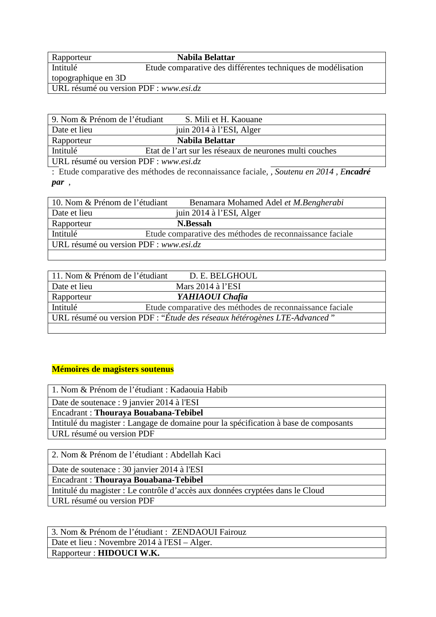| Rapporteur                             | Nabila Belattar                                              |
|----------------------------------------|--------------------------------------------------------------|
| Intitulé                               | Etude comparative des différentes techniques de modélisation |
| topographique en 3D                    |                                                              |
| URL résumé ou version PDF : www.esi.dz |                                                              |
|                                        |                                                              |

| 9. Nom & Prénom de l'étudiant          | S. Mili et H. Kaouane                                   |
|----------------------------------------|---------------------------------------------------------|
| Date et lieu                           | juin 2014 à l'ESI, Alger                                |
| Rapporteur                             | Nabila Belattar                                         |
| Intitulé                               | Etat de l'art sur les réseaux de neurones multi couches |
| URL résumé ou version PDF : www.esi.dz |                                                         |

: Etude comparative des méthodes de reconnaissance faciale, *, Soutenu en 2014 , Encadré par* ,

| 10. Nom & Prénom de l'étudiant         | Benamara Mohamed Adel et M.Bengherabi                    |
|----------------------------------------|----------------------------------------------------------|
| Date et lieu                           | juin 2014 à l'ESI, Alger                                 |
| Rapporteur                             | N.Bessah                                                 |
| Intitulé                               | Etude comparative des méthodes de reconnaissance faciale |
| URL résumé ou version PDF : www.esi.dz |                                                          |
|                                        |                                                          |

| 11. Nom & Prénom de l'étudiant | D. E. BELGHOUL                                                           |
|--------------------------------|--------------------------------------------------------------------------|
| Date et lieu                   | Mars $2014$ à l'ESI                                                      |
| Rapporteur                     | YAHIAOUI Chafia                                                          |
| Intitulé                       | Etude comparative des méthodes de reconnaissance faciale                 |
|                                | URL résumé ou version PDF : "Étude des réseaux hétérogènes LTE-Advanced" |
|                                |                                                                          |

# **Mémoires de magisters soutenus**

1. Nom & Prénom de l'étudiant : Kadaouia Habib

Date de soutenace : 9 janvier 2014 à l'ESI

Encadrant : **Thouraya Bouabana-Tebibel**

Intitulé du magister : Langage de domaine pour la spécification à base de composants URL résumé ou version PDF

2. Nom & Prénom de l'étudiant : Abdellah Kaci

Date de soutenace : 30 janvier 2014 à l'ESI

Encadrant : **Thouraya Bouabana-Tebibel**

Intitulé du magister : Le contrôle d'accès aux données cryptées dans le Cloud URL résumé ou version PDF

3. Nom & Prénom de l'étudiant : ZENDAOUI Fairouz Date et lieu : Novembre 2014 à l'ESI – Alger. Rapporteur : **HIDOUCI W.K.**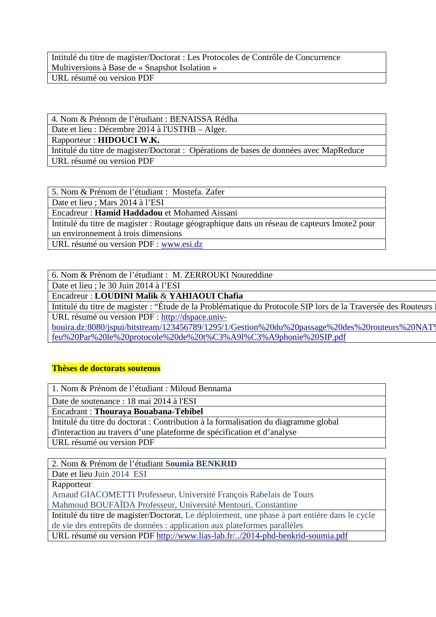Intitulé du titre de magister/Doctorat : Les Protocoles de Contrôle de Concurrence Multiversions à Base de « Snapshot Isolation » URL résumé ou version PDF

4. Nom & Prénom de l'étudiant : BENAISSA Rédha

Date et lieu : Décembre 2014 à l'USTHB – Alger.

Rapporteur : **HIDOUCI W.K.**

Intitulé du titre de magister/Doctorat : Opérations de bases de données avec MapReduce URL résumé ou version PDF

5. Nom & Prénom de l'étudiant : Mostefa. Zafer

Date et lieu ; Mars 2014 à l'ESI

Encadreur : **Hamid Haddadou** et Mohamed Aissani

Intitulé du titre de magister : Routage géographique dans un réseau de capteurs Imote2 pour un environnement à trois dimensions

URL résumé ou version PDF : www.esi.dz

6. Nom & Prénom de l'étudiant : M. ZERROUKI Noureddine

Date et lieu ; le 30 Juin 2014 à l'ESI

Encadreur : **LOUDINI Malik** & **YAHIAOUI Chafia**

Intitulé du titre de magister : "Étude de la Problématique du Protocole SIP lors de la Traversée des Routeurs N URL résumé ou version PDF : http://dspace.univ-

bouira.dz:8080/jspui/bitstream/123456789/1295/1/Gestion%20du%20passage%20des%20routeurs%20NAT% feu%20Par%20le%20protocole%20de%20t%C3%A9l%C3%A9phonie%20SIP.pdf

# **Thèses de doctorats soutenus**

1. Nom & Prénom de l'étudiant : Miloud Bennama

Date de soutenance : 18 mai 2014 à l'ESI

Encadrant : **Thouraya Bouabana-Tebibel**

Intitulé du titre du doctorat : Contribution à la formalisation du diagramme global d'interaction au travers d'une plateforme de spécification et d'analyse

URL résumé ou version PDF

2. Nom & Prénom de l'étudiant **Soumia BENKRID**

Date et lieu Juin 2014 ESI

Rapporteur

Arnaud GIACOMETTI Professeur, Université François Rabelais de Tours

Mahmoud BOUFAÏDA Professeur, Université Mentouri, Constantine

Intitulé du titre de magister/Doctorat, Le déploiement, une phase à part entière dans le cycle de vie des entrepôts de données : application aux plateformes parallèles

URL résumé ou version PDF http://www.lias-lab.fr/../2014-phd-benkrid-soumia.pdf